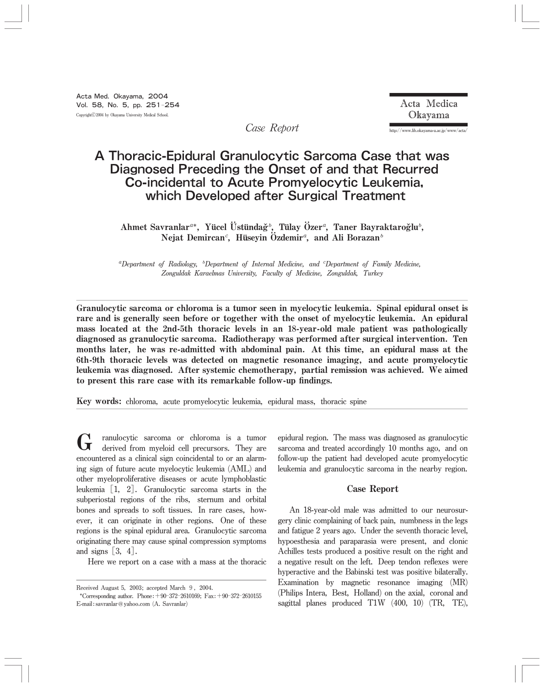Acta Medica Okayama

http://www.lib.okayama-u.ac.jp/www/acta/

Case Report

# A Thoracic-Epidural Granulocytic Sarcoma Case that was Diagnosed Preceding the Onset of and that Recurred Co-incidental to Acute Promyelocytic Leukemia, which Developed after Surgical Treatment

Ahmet Savranlar<sup>a\*</sup>, Yücel Üstündağ<sup>5</sup>, Tülay Özer<sup>a</sup>, Taner Bayraktaroğlu<sup>5</sup>, Nejat Demircan<sup>c</sup>, Hüseyin Özdemir<sup>a</sup>, and Ali Borazan<sup>b</sup>

 ${}^{a}$ Department of Radiology,  ${}^{b}$ Department of Internal Medicine, and  ${}^{c}$ Department of Family Medicine, Zonguldak Karaelmas University, Faculty of Medicine, Zonguldak, Turkey

Granulocytic sarcoma or chloroma is a tumor seen in myelocytic leukemia. Spinal epidural onset is rare and is generally seen before or together with the onset of myelocytic leukemia. An epidural mass located at the 2nd-5th thoracic levels in an 18-year-old male patient was pathologically diagnosed as granulocytic sarcoma. Radiotherapy was performed after surgical intervention. Ten months later, he was re-admitted with abdominal pain. At this time, an epidural mass at the 6th-9th thoracic levels was detected on magnetic resonance imaging, and acute promyelocytic leukemia was diagnosed. After systemic chemotherapy, partial remission was achieved. We aimed to present this rare casewith its remarkable follow-up findings.

Key words: chloroma, acute promyelocytic leukemia, epidural mass, thoracic spine

G ranulocytic sarcoma or chloroma is a tumor<br>derived from myeloid cell precursors. They are<br>expected as a clinical sign esimplement to an analomy encountered as a clinical sign coincidental to or an alarming sign of future acute myelocytic leukemia (AML) and other myeloproliferative diseases or acute lymphoblastic leukemia[1, 2]. Granulocytic sarcoma starts in the subperiostal regions of the ribs, sternum and orbital bones and spreads to soft tissues. In rare cases, however, it can originate in other regions. One of these regions is the spinal epidural area. Granulocytic sarcoma originating there may cause spinal compression symptoms and signs  $\lceil 3, 4 \rceil$ .

Here we report on a case with a mass at the thoracic

epidural region. The mass was diagnosed as granulocytic sarcoma and treated accordingly 10 months ago, and on follow-up the patient had developed acute promyelocytic leukemia and granulocytic sarcoma in the nearby region.

# Case Report

An 18-year-old male was admitted to our neurosurgery clinic complaining of back pain, numbness in the legs and fatigue 2 years ago. Under the seventh thoracic level, hypoesthesia and paraparasia were present, and clonic Achilles tests produced a positive result on the right and a negative result on the left. Deep tendon reflexes were hyperactive and the Babinski test was positive bilaterally. Examination by magnetic resonance imaging (MR) (Philips Intera, Best, Holland) on the axial, coronal and sagittal planes produced T1W (400, 10) (TR, TE),

Received August 5, 2003; accepted March 9, 2004.

<sup>\*</sup>Corresponding author. Phone:  $+90-372-2610169$ ; Fax:  $+90-372-2610155$ E-mail: savranlar@yahoo.com (A. Savranlar)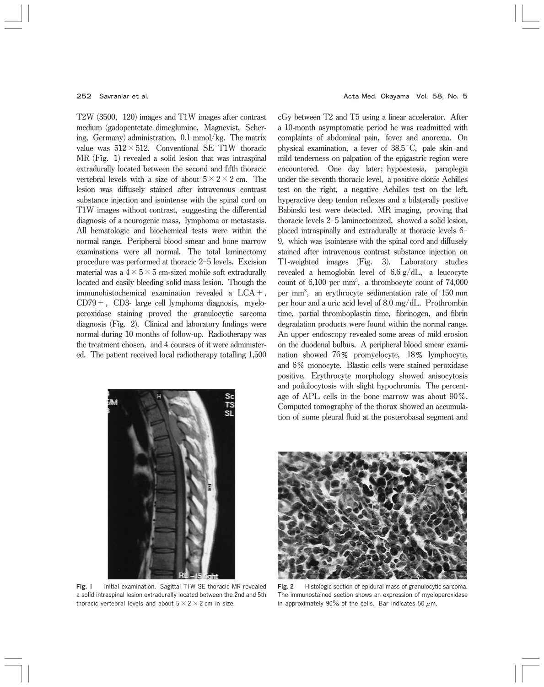$T2W$  (3500, 120) images and T1W images after contrast medium (gadopentetate dimeglumine, Magnevist, Schering, Germany) administration,  $0.1$  mmol/kg. The matrix value was  $512 \times 512$ . Conventional SE T1W thoracic  $MR$  (Fig. 1) revealed a solid lesion that was intraspinal extradurally located between the second and fifth thoracic vertebral levels with a size of about  $5\times2\times2$  cm. The lesion was diffusely stained after intravenous contrast substance injection and isointense with the spinal cord on T1W images without contrast, suggesting the differential diagnosis of a neurogenic mass, lymphoma or metastasis. All hematologic and biochemical tests were within the normal range. Peripheral blood smear and bone marrow examinations were all normal. The total laminectomy procedure was performed at thoracic  $2-5$  levels. Excision material was a  $4 \times 5 \times 5$  cm-sized mobile soft extradurally located and easily bleeding solid mass lesion. Though the immunohistochemical examination revealed a LCA+,  $CD79+$ ,  $CD3-$  large cell lymphoma diagnosis, myeloperoxidase staining proved the granulocytic sarcoma diagnosis (Fig.  $2$ ). Clinical and laboratory findings were normal during 10 months of follow-up. Radiotherapy was the treatment chosen, and 4 courses of it were administered. The patient received local radiotherapy totalling 1,500



cGybetweenT2andT5using alinearaccelerator. After a 10-month asymptomatic period he was readmitted with complaints of abdominal pain, fever and anorexia. On physical examination, a fever of 38.5 °C, pale skin and mild tenderness on palpation of the epigastric region were encountered. One day later; hypoestesia, paraplegia under the seventh thoracic level, a positive clonic Achilles test on the right, a negative Achilles test on the left, hyperactive deep tendon reflexes and a bilaterally positive Babinski test were detected. MR imaging, proving that thoracic levels  $2-5$  laminectomized, showed a solid lesion, placed intraspinally and extradurally at thoracic levels 6-9, which was isointense with the spinal cord and diffusely stained after intravenous contrast substance injection on T1-weighted images (Fig. 3). Laboratory studies revealed a hemoglobin level of  $6.6 \text{ g}/dL$ , a leucocyte count of  $6,100$  per mm<sup>3</sup>, a thrombocyte count of  $74,000$ per mm<sup>3</sup>, an erythrocyte sedimentation rate of 150 mm per hour and a uric acid level of  $8.0 \text{ mg/dL}$ . Prothrombin time, partial thromboplastin time, fibrinogen, and fibrin degradation products were found within the normal range. An upper endoscopy revealed some areas of mild erosion on the duodenal bulbus. A peripheral blood smear examination showed 76% promyelocyte, 18% lymphocyte, and 6% monocyte. Blastic cells were stained peroxidase positive. Erythrocyte morphology showed anisocytosis and poikilocytosis with slight hypochromia. The percentage of APL cells in the bone marrow was about  $90\%$ . Computed tomography of the thorax showed an accumulation of some pleural fluid at the posterobasal segment and



Fig. 1 Initial examination. Sagittal TIW SE thoracic MR revealed a solid intraspinal lesion extradurally located between the 2nd and 5th thoracic vertebral levels and about  $5\times2\times2$  cm in size.



Fig. 2 Histologic section of epidural mass of granulocytic sarcoma. The immunostained section shows an expression of myeloperoxidase in approximately 90% of the cells. Bar indicates 50  $\mu$ m.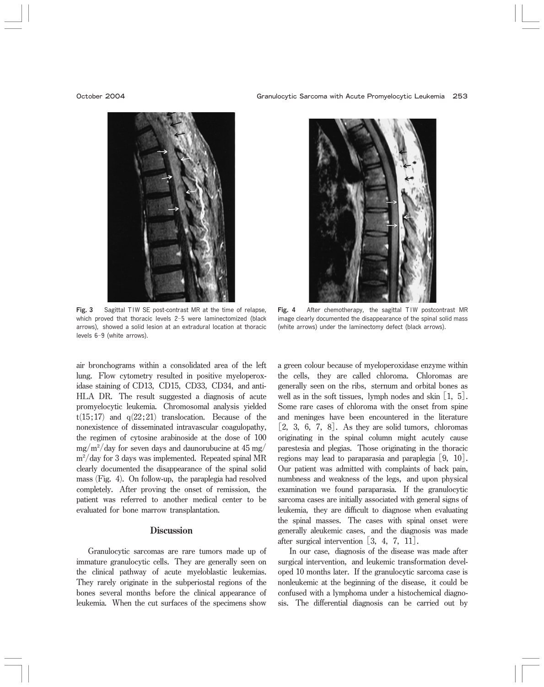

Fig. 3 Sagittal TIW SE post-contrast MR at the time of relapse, which proved that thoracic levels 2-5 were laminectomized (black arrows), showed a solid lesion at an extradural location at thoracic levels 6-9 (white arrows).

air bronchograms within a consolidated area of the left lung. Flow cytometry resulted in positive myeloperoxidase staining of CD13, CD15, CD33, CD34, and anti-HLA DR. The result suggested a diagnosis of acute promyelocytic leukemia. Chromosomal analysis yielded  $t(15;17)$  and  $q(22;21)$  translocation. Because of the nonexistence of disseminated intravascular coagulopathy, the regimen of cytosine arabinoside at the dose of 100  $mg/m<sup>2</sup>/day$  for seven days and daunorubucine at 45 mg/  $m^2$ /day for 3 days was implemented. Repeated spinal MR clearly documented the disappearance of the spinal solid mass (Fig. 4). On follow-up, the paraplegia had resolved completely. After proving the onset of remission, the patient was referred to another medical center to be evaluated for bone marrow transplantation.

## **Discussion**

Granulocytic sarcomas are rare tumors made up of immature granulocytic cells. They are generally seen on the clinical pathway of acute myeloblastic leukemias. They rarely originate in the subperiostal regions of the bones several months before the clinical appearance of leukemia. When the cut surfaces of the specimens show



Fig. 4 After chemotherapy, the sagittal T1W postcontrast MR image clearly documented the disappearance of the spinal solid mass (white arrows) under the laminectomy defect (black arrows).

a green colour because of myeloperoxidase enzyme within the cells, they are called chloroma. Chloromas are generally seen on the ribs, sternum and orbital bones as well as in the soft tissues, lymph nodes and skin  $\lfloor 1, 5 \rfloor$ . Some rare cases of chloroma with the onset from spine and meninges have been encountered in the literature  $[2, 3, 6, 7, 8]$ . As they are solid tumors, chloromas originating in the spinal column might acutely cause parestesia and plegias. Those originating in the thoracic regions may lead to paraparasia and paraplegia  $[9, 10]$ . Our patient was admitted with complaints of back pain, numbness and weakness of the legs, and upon physical examination we found paraparasia. If the granulocytic sarcoma cases are initially associated with general signs of leukemia, they are difficult to diagnose when evaluating the spinal masses. The cases with spinal onset were generally aleukemic cases, and the diagnosis was made after surgical intervention  $\begin{bmatrix} 3, 4, 7, 11 \end{bmatrix}$ .

In our case, diagnosis of the disease was made after surgical intervention, and leukemic transformation developed 10 months later. If the granulocytic sarcoma case is nonleukemic at the beginning of the disease, it could be confused with a lymphoma under a histochemical diagnosis. The differential diagnosis can be carried out by